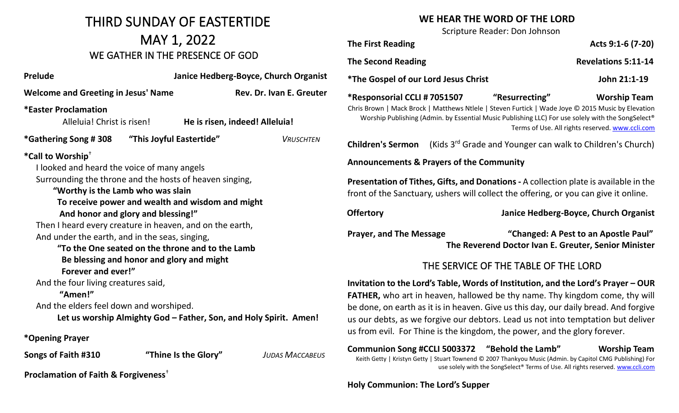# THIRD SUNDAY OF EASTERTIDE MAY 1, 2022 WE GATHER IN THE PRESENCE OF GOD

| <b>Prelude</b>                                                                                                                                                                                                                                                                                                                                                                                                                                                                                                                                              |                                           | Janice Hedberg-Boyce, Church Organist |                                                                   |  |
|-------------------------------------------------------------------------------------------------------------------------------------------------------------------------------------------------------------------------------------------------------------------------------------------------------------------------------------------------------------------------------------------------------------------------------------------------------------------------------------------------------------------------------------------------------------|-------------------------------------------|---------------------------------------|-------------------------------------------------------------------|--|
| <b>Welcome and Greeting in Jesus' Name</b>                                                                                                                                                                                                                                                                                                                                                                                                                                                                                                                  |                                           | Rev. Dr. Ivan E. Greuter              |                                                                   |  |
| <b>*Easter Proclamation</b><br>Alleluia! Christ is risen!                                                                                                                                                                                                                                                                                                                                                                                                                                                                                                   |                                           |                                       | He is risen, indeed! Alleluia!                                    |  |
|                                                                                                                                                                                                                                                                                                                                                                                                                                                                                                                                                             |                                           |                                       | <b>VRUSCHTEN</b>                                                  |  |
| *Call to Worship <sup>+</sup><br>I looked and heard the voice of many angels<br>Surrounding the throne and the hosts of heaven singing,<br>"Worthy is the Lamb who was slain<br>To receive power and wealth and wisdom and might<br>And honor and glory and blessing!"<br>Then I heard every creature in heaven, and on the earth,<br>And under the earth, and in the seas, singing,<br>"To the One seated on the throne and to the Lamb<br>Forever and ever!"<br>And the four living creatures said,<br>"Amen!"<br>And the elders feel down and worshiped. | Be blessing and honor and glory and might |                                       | Let us worship Almighty God - Father, Son, and Holy Spirit. Amen! |  |
| *Opening Prayer                                                                                                                                                                                                                                                                                                                                                                                                                                                                                                                                             |                                           |                                       |                                                                   |  |
| Songs of Faith #310                                                                                                                                                                                                                                                                                                                                                                                                                                                                                                                                         |                                           | "Thine Is the Glory"                  | <b>JUDAS MACCABEUS</b>                                            |  |
| Proclamation of Faith & Forgiveness <sup>+</sup>                                                                                                                                                                                                                                                                                                                                                                                                                                                                                                            |                                           |                                       |                                                                   |  |

#### **WE HEAR THE WORD OF THE LORD**

Scripture Reader: Don Johnson

**The First Reading Acts 9:1-6 (7-20) Acts** 9:1-6 (7-20)

**The Second Reading The Second Reading 2.11-14** 

**\*The Gospel of our Lord Jesus Christ John 21:1-19**

**\*Responsorial CCLI # 7051507 "Resurrecting" Worship Team** Chris Brown | Mack Brock | Matthews Ntlele | Steven Furtick | Wade Joye © 2015 Music by Elevation Worship Publishing (Admin. by Essential Music Publishing LLC) For use solely with the SongSelect® Terms of Use. All rights reserved[. www.ccli.com](http://www.ccli.com/)

**Children's Sermon** (Kids 3<sup>rd</sup> Grade and Younger can walk to Children's Church)

**Announcements & Prayers of the Community**

**Presentation of Tithes, Gifts, and Donations -** A collection plate is available in the front of the Sanctuary, ushers will collect the offering, or you can give it online.

**Offertory Janice Hedberg-Boyce, Church Organist**

**Prayer, and The Message "Changed: A Pest to an Apostle Paul" The Reverend Doctor Ivan E. Greuter, Senior Minister** 

## THE SERVICE OF THE TABLE OF THE LORD

**Invitation to the Lord's Table, Words of Institution, and the Lord's Prayer – OUR FATHER,** who art in heaven, hallowed be thy name. Thy kingdom come, thy will be done, on earth as it is in heaven. Give us this day, our daily bread. And forgive us our debts, as we forgive our debtors. Lead us not into temptation but deliver us from evil. For Thine is the kingdom, the power, and the glory forever.

**Communion Song #CCLI 5003372 "Behold the Lamb" Worship Team**  Keith Getty | Kristyn Getty | Stuart Townend © 2007 Thankyou Music (Admin. by Capitol CMG Publishing) For use solely with the SongSelect® Terms of Use. All rights reserved. [www.ccli.com](http://www.ccli.com/)

**Holy Communion: The Lord's Supper**